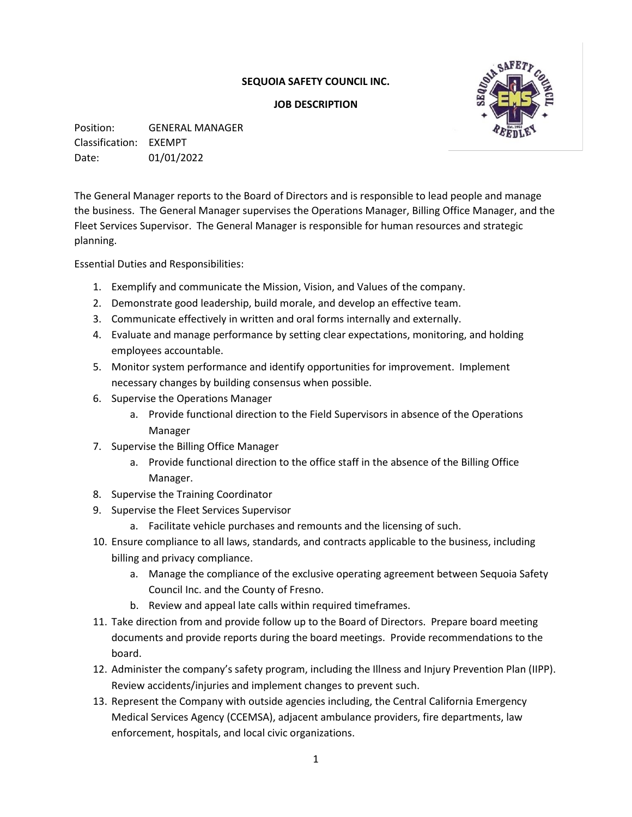## **SEQUOIA SAFETY COUNCIL INC.**

## **JOB DESCRIPTION**



Position: GENERAL MANAGER Classification: EXEMPT Date: 01/01/2022

The General Manager reports to the Board of Directors and is responsible to lead people and manage the business. The General Manager supervises the Operations Manager, Billing Office Manager, and the Fleet Services Supervisor. The General Manager is responsible for human resources and strategic planning.

Essential Duties and Responsibilities:

- 1. Exemplify and communicate the Mission, Vision, and Values of the company.
- 2. Demonstrate good leadership, build morale, and develop an effective team.
- 3. Communicate effectively in written and oral forms internally and externally.
- 4. Evaluate and manage performance by setting clear expectations, monitoring, and holding employees accountable.
- 5. Monitor system performance and identify opportunities for improvement. Implement necessary changes by building consensus when possible.
- 6. Supervise the Operations Manager
	- a. Provide functional direction to the Field Supervisors in absence of the Operations Manager
- 7. Supervise the Billing Office Manager
	- a. Provide functional direction to the office staff in the absence of the Billing Office Manager.
- 8. Supervise the Training Coordinator
- 9. Supervise the Fleet Services Supervisor
	- a. Facilitate vehicle purchases and remounts and the licensing of such.
- 10. Ensure compliance to all laws, standards, and contracts applicable to the business, including billing and privacy compliance.
	- a. Manage the compliance of the exclusive operating agreement between Sequoia Safety Council Inc. and the County of Fresno.
	- b. Review and appeal late calls within required timeframes.
- 11. Take direction from and provide follow up to the Board of Directors. Prepare board meeting documents and provide reports during the board meetings. Provide recommendations to the board.
- 12. Administer the company's safety program, including the Illness and Injury Prevention Plan (IIPP). Review accidents/injuries and implement changes to prevent such.
- 13. Represent the Company with outside agencies including, the Central California Emergency Medical Services Agency (CCEMSA), adjacent ambulance providers, fire departments, law enforcement, hospitals, and local civic organizations.